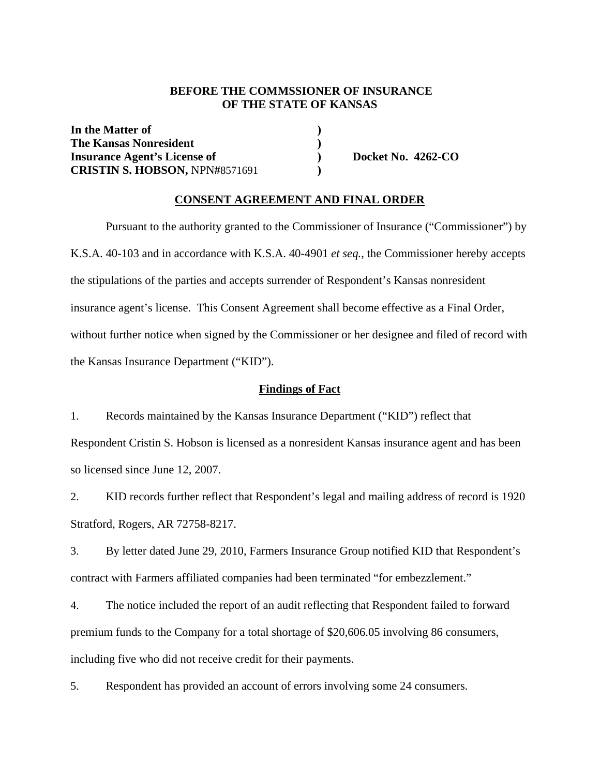### **BEFORE THE COMMSSIONER OF INSURANCE OF THE STATE OF KANSAS**

In the Matter of  $\qquad \qquad$  **) The Kansas Nonresident** () **Insurance Agent's License of ) Docket No. 4262-CO CRISTIN S. HOBSON,** NPN**#**8571691 **)** 

#### **CONSENT AGREEMENT AND FINAL ORDER**

Pursuant to the authority granted to the Commissioner of Insurance ("Commissioner") by K.S.A. 40-103 and in accordance with K.S.A. 40-4901 *et seq.*, the Commissioner hereby accepts the stipulations of the parties and accepts surrender of Respondent's Kansas nonresident insurance agent's license. This Consent Agreement shall become effective as a Final Order, without further notice when signed by the Commissioner or her designee and filed of record with the Kansas Insurance Department ("KID").

#### **Findings of Fact**

1. Records maintained by the Kansas Insurance Department ("KID") reflect that

Respondent Cristin S. Hobson is licensed as a nonresident Kansas insurance agent and has been so licensed since June 12, 2007.

2. KID records further reflect that Respondent's legal and mailing address of record is 1920 Stratford, Rogers, AR 72758-8217.

3. By letter dated June 29, 2010, Farmers Insurance Group notified KID that Respondent's contract with Farmers affiliated companies had been terminated "for embezzlement."

4. The notice included the report of an audit reflecting that Respondent failed to forward premium funds to the Company for a total shortage of \$20,606.05 involving 86 consumers, including five who did not receive credit for their payments.

5. Respondent has provided an account of errors involving some 24 consumers.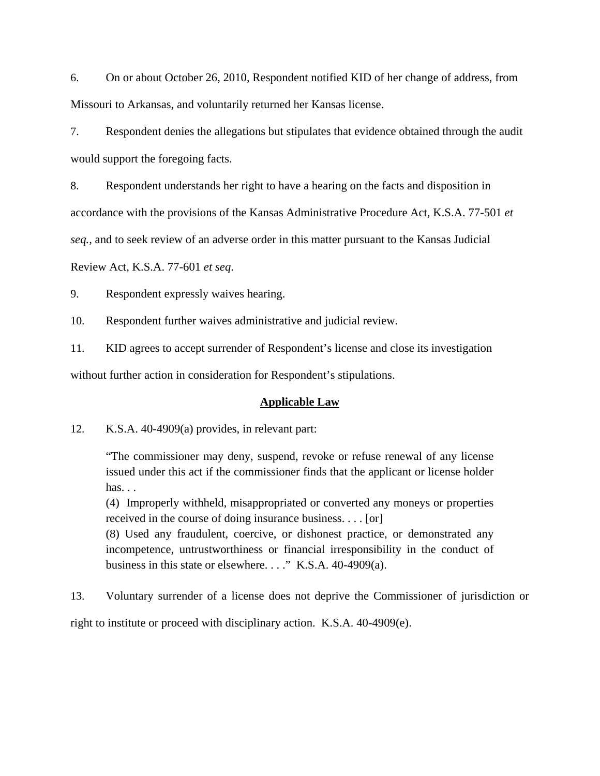6. On or about October 26, 2010, Respondent notified KID of her change of address, from Missouri to Arkansas, and voluntarily returned her Kansas license.

7. Respondent denies the allegations but stipulates that evidence obtained through the audit would support the foregoing facts.

8. Respondent understands her right to have a hearing on the facts and disposition in

accordance with the provisions of the Kansas Administrative Procedure Act, K.S.A. 77-501 *et* 

*seq.*, and to seek review of an adverse order in this matter pursuant to the Kansas Judicial

Review Act, K.S.A. 77-601 *et seq*.

9. Respondent expressly waives hearing.

10. Respondent further waives administrative and judicial review.

11. KID agrees to accept surrender of Respondent's license and close its investigation

without further action in consideration for Respondent's stipulations.

#### **Applicable Law**

12. K.S.A. 40-4909(a) provides, in relevant part:

"The commissioner may deny, suspend, revoke or refuse renewal of any license issued under this act if the commissioner finds that the applicant or license holder has. . .

(4) Improperly withheld, misappropriated or converted any moneys or properties received in the course of doing insurance business. . . . [or]

(8) Used any fraudulent, coercive, or dishonest practice, or demonstrated any incompetence, untrustworthiness or financial irresponsibility in the conduct of business in this state or elsewhere. . . ." K.S.A. 40-4909(a).

13. Voluntary surrender of a license does not deprive the Commissioner of jurisdiction or right to institute or proceed with disciplinary action. K.S.A. 40-4909(e).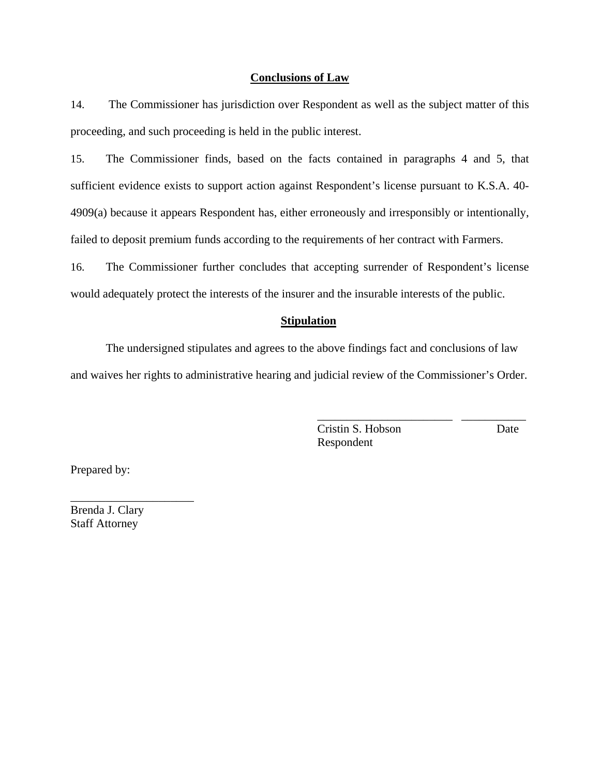#### **Conclusions of Law**

14. The Commissioner has jurisdiction over Respondent as well as the subject matter of this proceeding, and such proceeding is held in the public interest.

15. The Commissioner finds, based on the facts contained in paragraphs 4 and 5, that sufficient evidence exists to support action against Respondent's license pursuant to K.S.A. 40- 4909(a) because it appears Respondent has, either erroneously and irresponsibly or intentionally, failed to deposit premium funds according to the requirements of her contract with Farmers.

16. The Commissioner further concludes that accepting surrender of Respondent's license would adequately protect the interests of the insurer and the insurable interests of the public.

#### **Stipulation**

The undersigned stipulates and agrees to the above findings fact and conclusions of law and waives her rights to administrative hearing and judicial review of the Commissioner's Order.

> Cristin S. Hobson Date Respondent

\_\_\_\_\_\_\_\_\_\_\_\_\_\_\_\_\_\_\_\_\_\_\_ \_\_\_\_\_\_\_\_\_\_\_

Prepared by:

Brenda J. Clary Staff Attorney

\_\_\_\_\_\_\_\_\_\_\_\_\_\_\_\_\_\_\_\_\_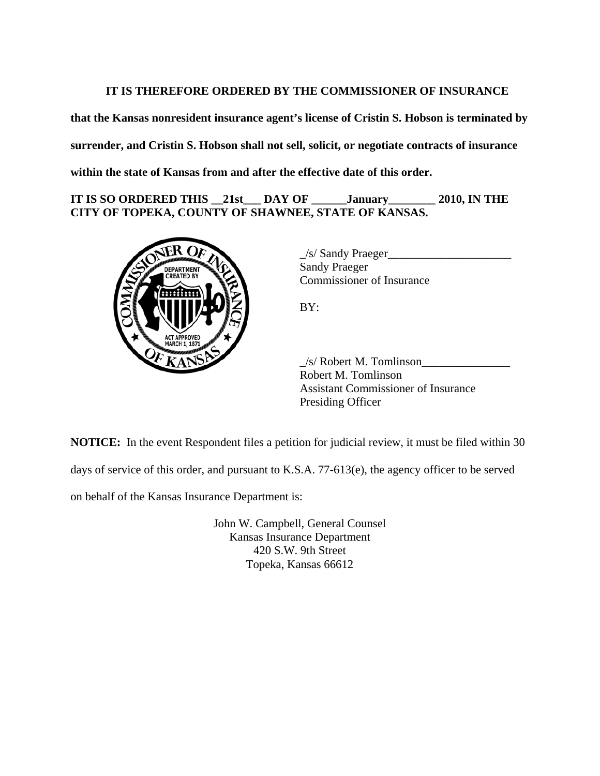## **IT IS THEREFORE ORDERED BY THE COMMISSIONER OF INSURANCE**

**that the Kansas nonresident insurance agent's license of Cristin S. Hobson is terminated by surrender, and Cristin S. Hobson shall not sell, solicit, or negotiate contracts of insurance within the state of Kansas from and after the effective date of this order.** 

**IT IS SO ORDERED THIS \_\_21st\_\_\_ DAY OF \_\_\_\_\_\_January\_\_\_\_\_\_\_\_ 2010, IN THE CITY OF TOPEKA, COUNTY OF SHAWNEE, STATE OF KANSAS.** 



\_/s/ Sandy Praeger\_\_\_\_\_\_\_\_\_\_\_\_\_\_\_\_\_\_\_\_\_ Sandy Praeger Commissioner of Insurance

BY:

 $\angle$ s/ Robert M. Tomlinson $\angle$ Robert M. Tomlinson Assistant Commissioner of Insurance Presiding Officer

**NOTICE:** In the event Respondent files a petition for judicial review, it must be filed within 30

days of service of this order, and pursuant to K.S.A. 77-613(e), the agency officer to be served

on behalf of the Kansas Insurance Department is:

John W. Campbell, General Counsel Kansas Insurance Department 420 S.W. 9th Street Topeka, Kansas 66612